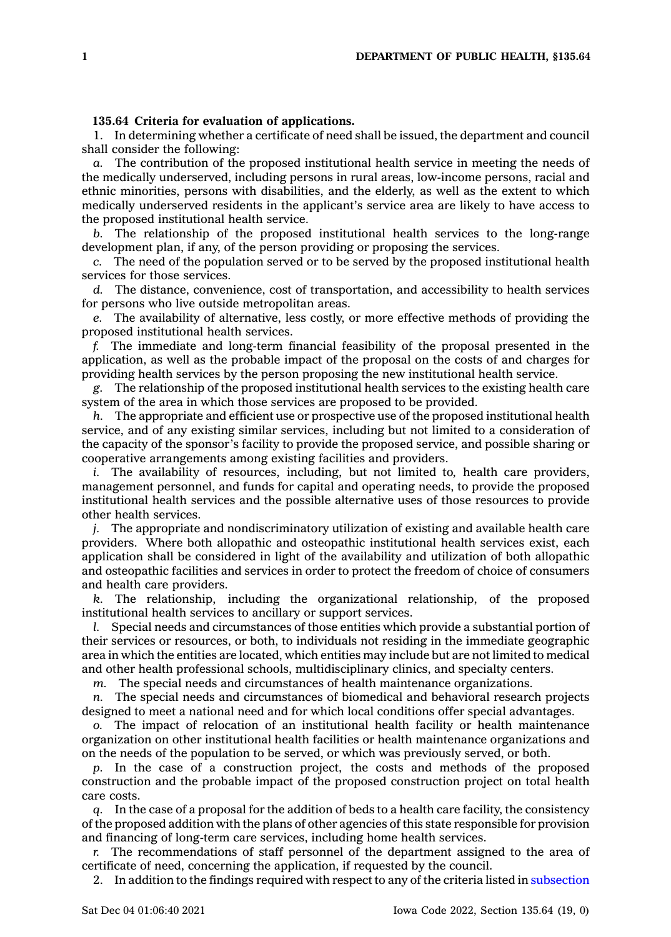## **135.64 Criteria for evaluation of applications.**

1. In determining whether <sup>a</sup> certificate of need shall be issued, the department and council shall consider the following:

*a.* The contribution of the proposed institutional health service in meeting the needs of the medically underserved, including persons in rural areas, low-income persons, racial and ethnic minorities, persons with disabilities, and the elderly, as well as the extent to which medically underserved residents in the applicant's service area are likely to have access to the proposed institutional health service.

*b.* The relationship of the proposed institutional health services to the long-range development plan, if any, of the person providing or proposing the services.

*c.* The need of the population served or to be served by the proposed institutional health services for those services.

*d.* The distance, convenience, cost of transportation, and accessibility to health services for persons who live outside metropolitan areas.

*e.* The availability of alternative, less costly, or more effective methods of providing the proposed institutional health services.

*f.* The immediate and long-term financial feasibility of the proposal presented in the application, as well as the probable impact of the proposal on the costs of and charges for providing health services by the person proposing the new institutional health service.

*g.* The relationship of the proposed institutional health services to the existing health care system of the area in which those services are proposed to be provided.

*h.* The appropriate and efficient use or prospective use of the proposed institutional health service, and of any existing similar services, including but not limited to <sup>a</sup> consideration of the capacity of the sponsor's facility to provide the proposed service, and possible sharing or cooperative arrangements among existing facilities and providers.

*i.* The availability of resources, including, but not limited to, health care providers, management personnel, and funds for capital and operating needs, to provide the proposed institutional health services and the possible alternative uses of those resources to provide other health services.

*j.* The appropriate and nondiscriminatory utilization of existing and available health care providers. Where both allopathic and osteopathic institutional health services exist, each application shall be considered in light of the availability and utilization of both allopathic and osteopathic facilities and services in order to protect the freedom of choice of consumers and health care providers.

*k.* The relationship, including the organizational relationship, of the proposed institutional health services to ancillary or support services.

*l.* Special needs and circumstances of those entities which provide <sup>a</sup> substantial portion of their services or resources, or both, to individuals not residing in the immediate geographic area in which the entities are located, which entities may include but are not limited to medical and other health professional schools, multidisciplinary clinics, and specialty centers.

*m.* The special needs and circumstances of health maintenance organizations.

*n.* The special needs and circumstances of biomedical and behavioral research projects designed to meet <sup>a</sup> national need and for which local conditions offer special advantages.

*o.* The impact of relocation of an institutional health facility or health maintenance organization on other institutional health facilities or health maintenance organizations and on the needs of the population to be served, or which was previously served, or both.

*p.* In the case of <sup>a</sup> construction project, the costs and methods of the proposed construction and the probable impact of the proposed construction project on total health care costs.

*q.* In the case of <sup>a</sup> proposal for the addition of beds to <sup>a</sup> health care facility, the consistency of the proposed addition with the plans of other agencies of this state responsible for provision and financing of long-term care services, including home health services.

*r.* The recommendations of staff personnel of the department assigned to the area of certificate of need, concerning the application, if requested by the council.

2. In addition to the findings required with respect to any of the criteria listed in [subsection](https://www.legis.iowa.gov/docs/code/135.64.pdf)